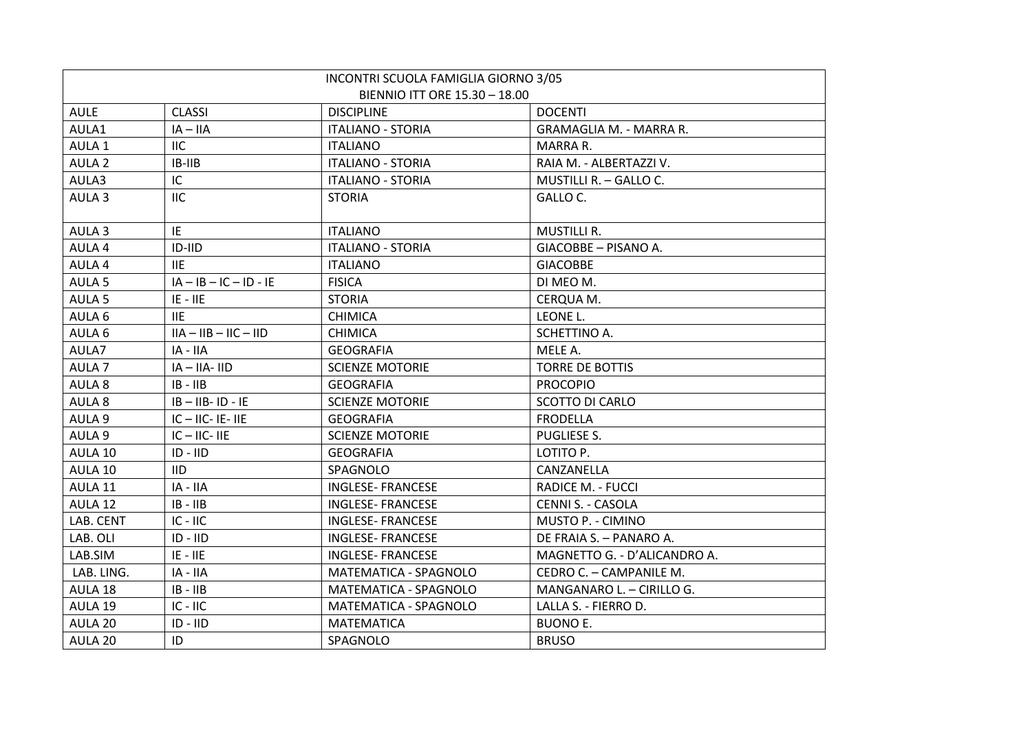|                          | INCONTRI SCUOLA FAMIGLIA GIORNO 3/05 |                              |
|--------------------------|--------------------------------------|------------------------------|
|                          | BIENNIO ITT ORE 15.30 - 18.00        |                              |
| <b>CLASSI</b>            | <b>DISCIPLINE</b>                    | <b>DOCENTI</b>               |
| $IA - IIA$               | <b>ITALIANO - STORIA</b>             | GRAMAGLIA M. - MARRA R.      |
| <b>IIC</b>               | <b>ITALIANO</b>                      | MARRA R.                     |
| $IB-IIB$                 | <b>ITALIANO - STORIA</b>             | RAIA M. - ALBERTAZZI V.      |
| IC                       | <b>ITALIANO - STORIA</b>             | MUSTILLI R. - GALLO C.       |
| <b>IIC</b>               | <b>STORIA</b>                        | GALLO C.                     |
|                          |                                      |                              |
| IE                       | <b>ITALIANO</b>                      | <b>MUSTILLI R.</b>           |
| $ID-HD$                  | <b>ITALIANO - STORIA</b>             | GIACOBBE - PISANO A.         |
| 11E                      | <b>ITALIANO</b>                      | <b>GIACOBBE</b>              |
| $IA - IB - IC - ID - IE$ | <b>FISICA</b>                        | DI MEO M.                    |
| $IE - IIE$               | <b>STORIA</b>                        | CERQUA M.                    |
| <b>IIE</b>               | <b>CHIMICA</b>                       | LEONE L.                     |
| $IIA - IIB - IIC - IID$  | <b>CHIMICA</b>                       | SCHETTINO A.                 |
| IA - IIA                 | <b>GEOGRAFIA</b>                     | MELE A.                      |
| $IA - IIA - IID$         | <b>SCIENZE MOTORIE</b>               | <b>TORRE DE BOTTIS</b>       |
| $IB - IIB$               | <b>GEOGRAFIA</b>                     | <b>PROCOPIO</b>              |
| $IB - IIB - ID - IE$     | <b>SCIENZE MOTORIE</b>               | <b>SCOTTO DI CARLO</b>       |
| $IC - IIC - IE - IIE$    | <b>GEOGRAFIA</b>                     | <b>FRODELLA</b>              |
| $IC - IIC - IIE$         | <b>SCIENZE MOTORIE</b>               | PUGLIESE S.                  |
| $ID - IID$               | <b>GEOGRAFIA</b>                     | LOTITO P.                    |
| <b>IID</b>               | SPAGNOLO                             | CANZANELLA                   |
| IA - IIA                 | <b>INGLESE- FRANCESE</b>             | <b>RADICE M. - FUCCI</b>     |
| $IB - IIB$               | <b>INGLESE- FRANCESE</b>             | <b>CENNI S. - CASOLA</b>     |
| $IC - IIC$               | <b>INGLESE- FRANCESE</b>             | MUSTO P. - CIMINO            |
| $ID - IID$               | <b>INGLESE- FRANCESE</b>             | DE FRAIA S. - PANARO A.      |
| $IE - IIE$               | <b>INGLESE- FRANCESE</b>             | MAGNETTO G. - D'ALICANDRO A. |
| IA - IIA                 | MATEMATICA - SPAGNOLO                | CEDRO C. - CAMPANILE M.      |
| $IB - IIB$               | <b>MATEMATICA - SPAGNOLO</b>         | MANGANARO L. - CIRILLO G.    |
| $IC - IIC$               | MATEMATICA - SPAGNOLO                | LALLA S. - FIERRO D.         |
| $ID - IID$               | <b>MATEMATICA</b>                    | <b>BUONO E.</b>              |
| ID                       | SPAGNOLO                             | <b>BRUSO</b>                 |
|                          |                                      |                              |